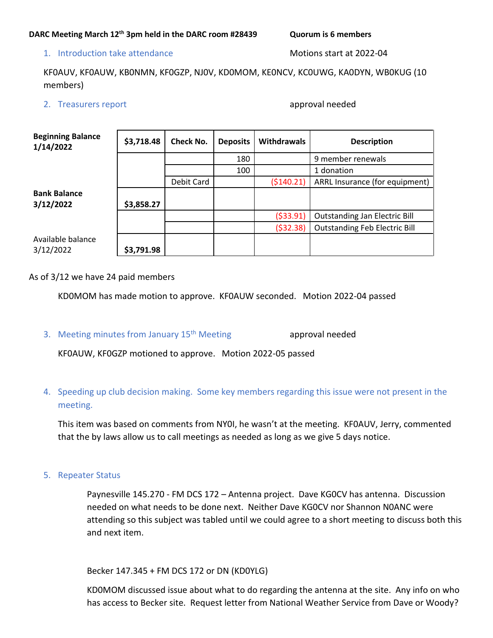## 1. Introduction take attendance and motions start at 2022-04

KF0AUV, KF0AUW, KB0NMN, KF0GZP, NJ0V, KD0MOM, KE0NCV, KC0UWG, KA0DYN, WB0KUG (10 members)

2. Treasurers report and the contract of the contract of the contract of the contract of the contract of the contract of the contract of the contract of the contract of the contract of the contract of the contract of the c

| <b>Beginning Balance</b><br>1/14/2022 | \$3,718.48 | <b>Check No.</b> | <b>Deposits</b> | <b>Withdrawals</b> | <b>Description</b>                   |
|---------------------------------------|------------|------------------|-----------------|--------------------|--------------------------------------|
|                                       |            |                  | 180             |                    | 9 member renewals                    |
|                                       |            |                  | 100             |                    | 1 donation                           |
|                                       |            | Debit Card       |                 | (5140.21)          | ARRL Insurance (for equipment)       |
| <b>Bank Balance</b><br>3/12/2022      | \$3,858.27 |                  |                 |                    |                                      |
|                                       |            |                  |                 | ( \$33.91)         | <b>Outstanding Jan Electric Bill</b> |
|                                       |            |                  |                 | ( \$32.38)         | <b>Outstanding Feb Electric Bill</b> |
| Available balance<br>3/12/2022        | \$3,791.98 |                  |                 |                    |                                      |

As of 3/12 we have 24 paid members

KD0MOM has made motion to approve. KF0AUW seconded. Motion 2022-04 passed

3. Meeting minutes from January 15<sup>th</sup> Meeting approval needed

KF0AUW, KF0GZP motioned to approve. Motion 2022-05 passed

## 4. Speeding up club decision making. Some key members regarding this issue were not present in the meeting.

This item was based on comments from NY0I, he wasn't at the meeting. KF0AUV, Jerry, commented that the by laws allow us to call meetings as needed as long as we give 5 days notice.

5. Repeater Status

Paynesville 145.270 - FM DCS 172 – Antenna project. Dave KG0CV has antenna. Discussion needed on what needs to be done next. Neither Dave KG0CV nor Shannon N0ANC were attending so this subject was tabled until we could agree to a short meeting to discuss both this and next item.

Becker 147.345 + FM DCS 172 or DN (KD0YLG)

KD0MOM discussed issue about what to do regarding the antenna at the site. Any info on who has access to Becker site. Request letter from National Weather Service from Dave or Woody?